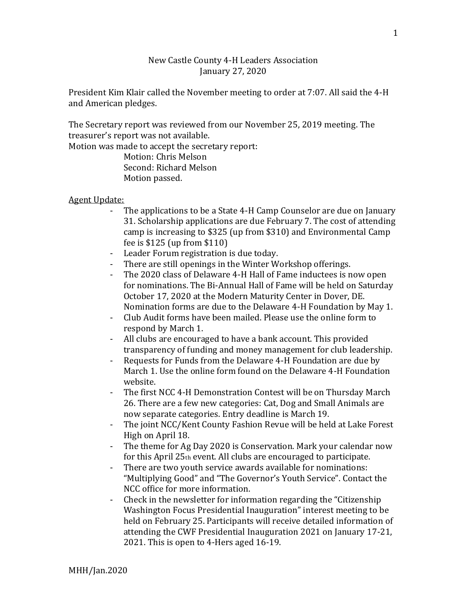## New Castle County 4-H Leaders Association January 27, 2020

President Kim Klair called the November meeting to order at 7:07. All said the 4-H and American pledges.

The Secretary report was reviewed from our November 25, 2019 meeting. The treasurer's report was not available.

Motion was made to accept the secretary report:

Motion: Chris Melson Second: Richard Melson Motion passed.

## Agent Update:

- The applications to be a State 4-H Camp Counselor are due on January 31. Scholarship applications are due February 7. The cost of attending camp is increasing to \$325 (up from \$310) and Environmental Camp fee is \$125 (up from \$110)
- Leader Forum registration is due today.
- There are still openings in the Winter Workshop offerings.
- The 2020 class of Delaware 4-H Hall of Fame inductees is now open for nominations. The Bi-Annual Hall of Fame will be held on Saturday October 17, 2020 at the Modern Maturity Center in Dover, DE. Nomination forms are due to the Delaware 4-H Foundation by May 1.
- Club Audit forms have been mailed. Please use the online form to respond by March 1.
- All clubs are encouraged to have a bank account. This provided transparency of funding and money management for club leadership.
- Requests for Funds from the Delaware 4-H Foundation are due by March 1. Use the online form found on the Delaware 4-H Foundation website.
- The first NCC 4-H Demonstration Contest will be on Thursday March 26. There are a few new categories: Cat, Dog and Small Animals are now separate categories. Entry deadline is March 19.
- The joint NCC/Kent County Fashion Revue will be held at Lake Forest High on April 18.
- The theme for Ag Day 2020 is Conservation. Mark your calendar now for this April 25th event. All clubs are encouraged to participate.
- There are two youth service awards available for nominations: "Multiplying Good" and "The Governor's Youth Service". Contact the NCC office for more information.
- Check in the newsletter for information regarding the "Citizenship Washington Focus Presidential Inauguration" interest meeting to be held on February 25. Participants will receive detailed information of attending the CWF Presidential Inauguration 2021 on January 17-21, 2021. This is open to 4-Hers aged 16-19.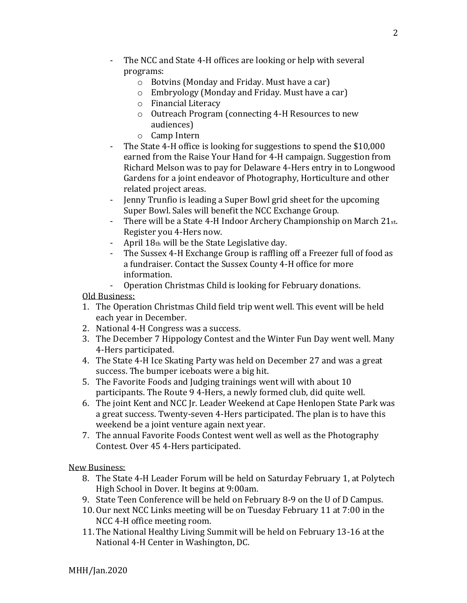- The NCC and State 4-H offices are looking or help with several programs:
	- o Botvins (Monday and Friday. Must have a car)
	- o Embryology (Monday and Friday. Must have a car)
	- o Financial Literacy
	- o Outreach Program (connecting 4-H Resources to new audiences)
	- o Camp Intern
- The State 4-H office is looking for suggestions to spend the \$10,000 earned from the Raise Your Hand for 4-H campaign. Suggestion from Richard Melson was to pay for Delaware 4-Hers entry in to Longwood Gardens for a joint endeavor of Photography, Horticulture and other related project areas.
- Jenny Trunfio is leading a Super Bowl grid sheet for the upcoming Super Bowl. Sales will benefit the NCC Exchange Group.
- There will be a State 4-H Indoor Archery Championship on March 21st. Register you 4-Hers now.
- April 18th will be the State Legislative day.
- The Sussex 4-H Exchange Group is raffling off a Freezer full of food as a fundraiser. Contact the Sussex County 4-H office for more information.
- Operation Christmas Child is looking for February donations.

## Old Business:

- 1. The Operation Christmas Child field trip went well. This event will be held each year in December.
- 2. National 4-H Congress was a success.
- 3. The December 7 Hippology Contest and the Winter Fun Day went well. Many 4-Hers participated.
- 4. The State 4-H Ice Skating Party was held on December 27 and was a great success. The bumper iceboats were a big hit.
- 5. The Favorite Foods and Judging trainings went will with about 10 participants. The Route 9 4-Hers, a newly formed club, did quite well.
- 6. The joint Kent and NCC Jr. Leader Weekend at Cape Henlopen State Park was a great success. Twenty-seven 4-Hers participated. The plan is to have this weekend be a joint venture again next year.
- 7. The annual Favorite Foods Contest went well as well as the Photography Contest. Over 45 4-Hers participated.

New Business:

- 8. The State 4-H Leader Forum will be held on Saturday February 1, at Polytech High School in Dover. It begins at 9:00am.
- 9. State Teen Conference will be held on February 8-9 on the U of D Campus.
- 10. Our next NCC Links meeting will be on Tuesday February 11 at 7:00 in the NCC 4-H office meeting room.
- 11. The National Healthy Living Summit will be held on February 13-16 at the National 4-H Center in Washington, DC.